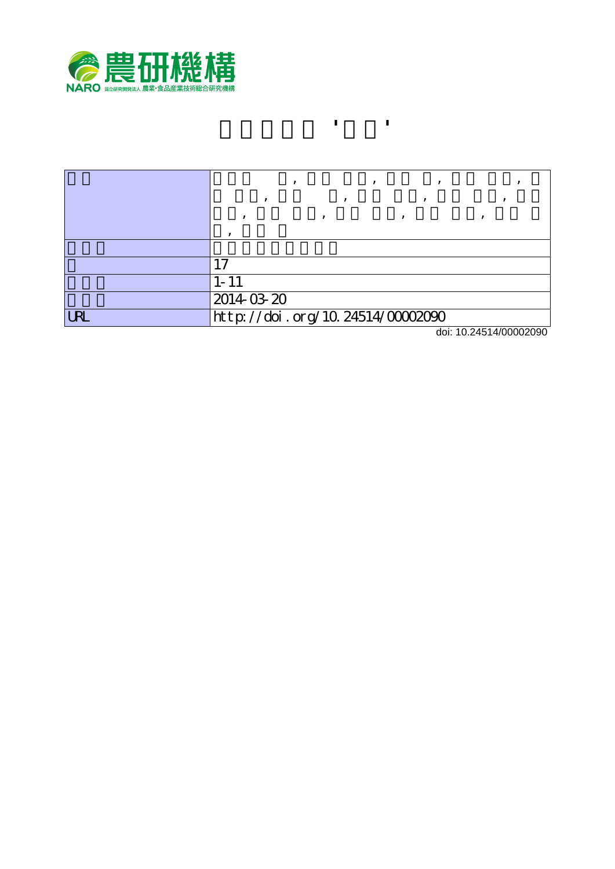

|            | $1 - 11$                              |
|------------|---------------------------------------|
|            | 2014-03-20                            |
| <b>URL</b> | http://doi.org/10.24514/00002090<br>. |

**ウメ新品種 '翠香'**

doi: 10.24514/00002090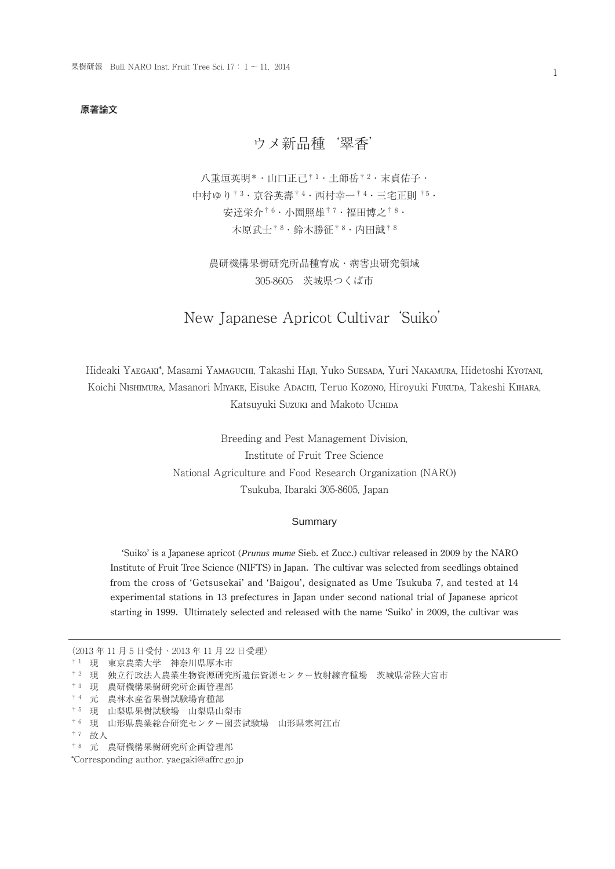## 原著論文

# ウメ新品種'翠香'

八重垣英明\* · 山口正己<sup>† 1</sup> · 土師岳<sup>† 2</sup> · 末貞佑子 · 中村ゆり† 3・京谷英壽† 4・西村幸一† 4・三宅正則 †5・ 安達栄介† 6・小園照雄† 7・福田博之† 8・ 木原武士† 8・鈴木勝征† 8・内田誠† 8

農研機構果樹研究所品種育成・病害虫研究領域 305-8605 茨城県つくば市

# New Japanese Apricot Cultivar 'Suiko'

Hideaki YAEGAKI\*, Masami YAMAGUCHI, Takashi HAJI, Yuko SUESADA, Yuri NAKAMURA, Hidetoshi KYOTANI, Koichi NISHIMURA, Masanori MIYAKE, Eisuke ADACHI, Teruo KOZONO, Hiroyuki FUKUDA, Takeshi KIHARA, Katsuyuki Suzuki and Makoto UCHIDA

> Breeding and Pest Management Division, Institute of Fruit Tree Science National Agriculture and Food Research Organization (NARO) Tsukuba, Ibaraki 305-8605, Japan

#### Summary

'Suiko' is a Japanese apricot (*Prunus mume* Sieb. et Zucc.) cultivar released in 2009 by the NARO Institute of Fruit Tree Science (NIFTS) in Japan. The cultivar was selected from seedlings obtained from the cross of 'Getsusekai' and 'Baigou', designated as Ume Tsukuba 7, and tested at 14 experimental stations in 13 prefectures in Japan under second national trial of Japanese apricot starting in 1999. Ultimately selected and released with the name 'Suiko' in 2009, the cultivar was

(2013 年 11 月 5 日受付・2013 年 11 月 22 日受理) † 1 現 東京農業大学 神奈川県厚木市 † 2 現 独立行政法人農業生物資源研究所遺伝資源センター放射線育種場 茨城県常陸大宮市 † 3 現 農研機構果樹研究所企画管理部 † 4 元 農林水産省果樹試験場育種部 † 5 現 山梨県果樹試験場 山梨県山梨市 † 6 現 山形県農業総合研究センター園芸試験場 山形県寒河江市 † 7 故人 † 8 元 農研機構果樹研究所企画管理部 \*Corresponding author. yaegaki@affrc.go.jp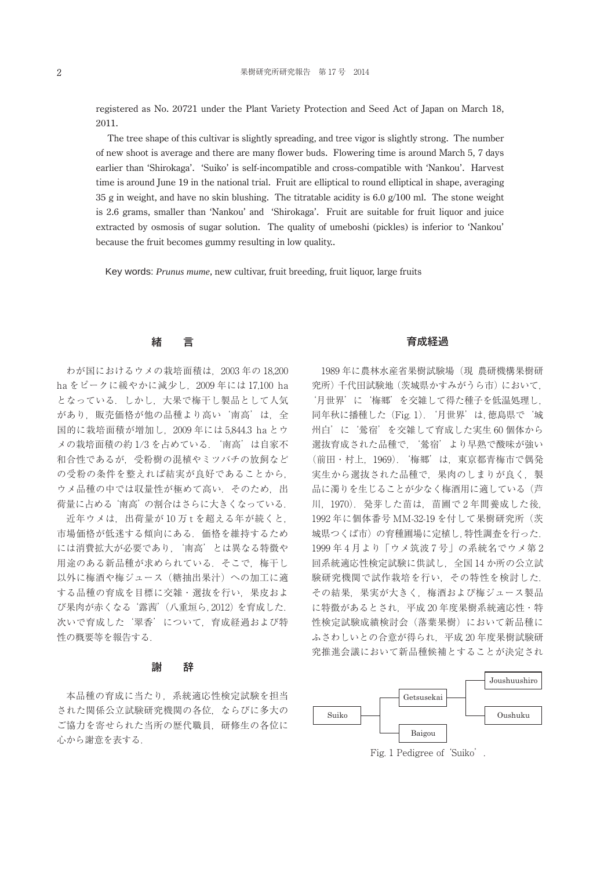registered as No. 20721 under the Plant Variety Protection and Seed Act of Japan on March 18, 2011.

The tree shape of this cultivar is slightly spreading, and tree vigor is slightly strong. The number of new shoot is average and there are many flower buds. Flowering time is around March 5, 7 days earlier than 'Shirokaga'. 'Suiko' is self-incompatible and cross-compatible with 'Nankou'. Harvest time is around June 19 in the national trial. Fruit are elliptical to round elliptical in shape, averaging 35 g in weight, and have no skin blushing. The titratable acidity is  $6.0 \frac{g}{100}$  ml. The stone weight is 2.6 grams, smaller than 'Nankou' and 'Shirokaga'. Fruit are suitable for fruit liquor and juice extracted by osmosis of sugar solution. The quality of umeboshi (pickles) is inferior to 'Nankou' because the fruit becomes gummy resulting in low quality..

Key words: *Prunus mume*, new cultivar, fruit breeding, fruit liquor, large fruits

# 緒 言

わが国におけるウメの栽培面積は,2003 年の 18,200 ha をピークに緩やかに減少し,2009 年には 17,100 ha となっている.しかし,大果で梅干し製品として人気 があり,販売価格が他の品種より高い'南高'は,全 国的に栽培面積が増加し,2009 年には 5,844.3 ha とウ メの栽培面積の約 1/3 を占めている.'南高'は自家不 和合性であるが,受粉樹の混植やミツバチの放飼など の受粉の条件を整えれば結実が良好であることから, ウメ品種の中では収量性が極めて高い. そのため, 出 荷量に占める'南高'の割合はさらに大きくなっている.

近年ウメは,出荷量が 10万tを超える年が続くと, 市場価格が低迷する傾向にある.価格を維持するため には消費拡大が必要であり,'南高'とは異なる特徴や 用途のある新品種が求められている. そこで、梅干し 以外に梅酒や梅ジュース(糖抽出果汁)への加工に適 する品種の育成を目標に交雑・選抜を行い,果皮およ び果肉が赤くなる'露茜'(八重垣ら,2012)を育成した. 次いで育成した'翠香'について、育成経過および特 性の概要等を報告する.

## 謝 辞

本品種の育成に当たり,系統適応性検定試験を担当 された関係公立試験研究機関の各位,ならびに多大の ご協力を寄せられた当所の歴代職員,研修生の各位に 心から謝意を表する.

## 育成経過

1989 年に農林水産省果樹試験場(現 農研機構果樹研 究所)千代田試験地(茨城県かすみがうら市)において, '月世界'に'梅郷'を交雑して得た種子を低温処理し, 同年秋に播種した(Fig. 1).'月世界'は,徳島県で'城 州白'に'鶯宿'を交雑して育成した実生 60 個体から 選抜育成された品種で,'鶯宿'より早熟で酸味が強い (前田・村上,1969).'梅郷'は,東京都青梅市で偶発 実生から選抜された品種で,果肉のしまりが良く,製 品に濁りを生じることが少なく梅酒用に適している(芦 川,1970).発芽した苗は,苗圃で 2 年間養成した後, 1992 年に個体番号 MM-32-19 を付して果樹研究所(茨 城県つくば市)の育種圃場に定植し,特性調査を行った. 1999 年 4 月より「ウメ筑波 7 号」の系統名でウメ第 2 回系統適応性検定試験に供試し,全国 14 か所の公立試 験研究機関で試作栽培を行い,その特性を検討した. その結果,果実が大きく,梅酒および梅ジュース製品 に特徴があるとされ,平成 20 年度果樹系統適応性・特 性検定試験成績検討会(落葉果樹)において新品種に ふさわしいとの合意が得られ,平成 20 年度果樹試験研 究推進会議において新品種候補とすることが決定され



Fig. 1 Pedigree of 'Suiko'.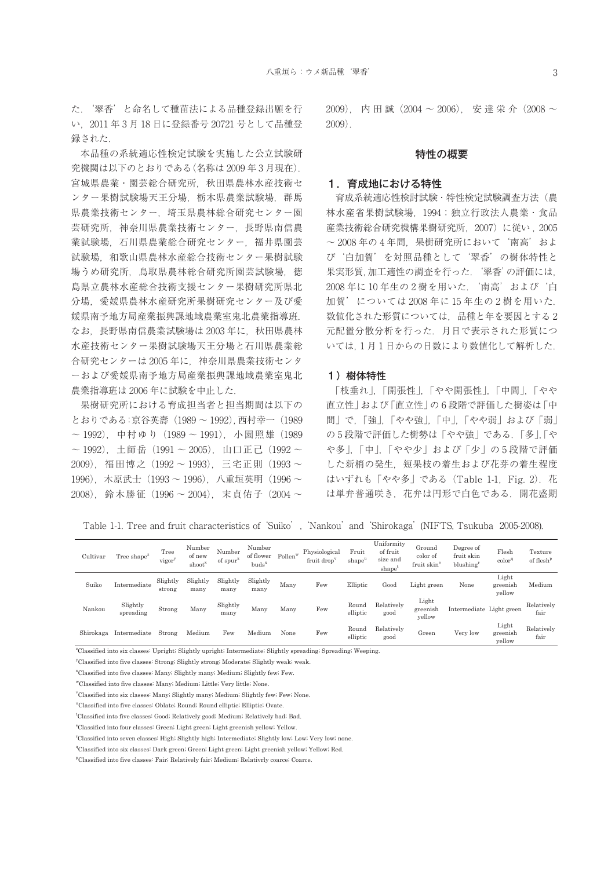本品種の系統適応性検定試験を実施した公立試験研 究機関は以下のとおりである(名称は 2009 年 3 月現在). 宮城県農業・園芸総合研究所,秋田県農林水産技術セ ンター果樹試験場天王分場, 栃木県農業試験場, 群馬 県農業技術センター,埼玉県農林総合研究センター園 芸研究所,神奈川県農業技術センター,長野県南信農 業試験場,石川県農業総合研究センター,福井県園芸 試験場,和歌山県農林水産総合技術センター果樹試験 場うめ研究所、鳥取県農林総合研究所園芸試験場、徳 島県立農林水産総合技術支援センター果樹研究所県北 分場,愛媛県農林水産研究所果樹研究センター及び愛 媛県南予地方局産業振興課地域農業室鬼北農業指導班. なお,長野県南信農業試験場は 2003 年に,秋田県農林 水産技術センター果樹試験場天王分場と石川県農業総 合研究センターは 2005 年に,神奈川県農業技術センタ ーおよび愛媛県南予地方局産業振興課地域農業室鬼北 農業指導班は 2006 年に試験を中止した.

録された.

果樹研究所における育成担当者と担当期間は以下の とおりである:京谷英壽(1989 ~ 1992),西村幸一(1989 ~ 1992),中村ゆり(1989 ~ 1991),小園照雄(1989  $\sim$  1992), 土師岳 (1991  $\sim$  2005), 山口正己 (1992  $\sim$ 2009),福田博之(1992 ~ 1993),三宅正則(1993 ~ 1996), 木原武士 (1993~1996), 八重垣英明 (1996~ 2008),鈴木勝征(1996 ~ 2004),末貞佑子(2004 ~  $(2009)$ , 内 田 誠 $(2004 \sim 2006)$ , 安 達 栄 介 $(2008 \sim$ 2009).

## 特性の概要

## 1.育成地における特性

育成系統適応性検討試験・特性検定試験調査方法(農 林水産省果樹試験場,1994;独立行政法人農業・食品 産業技術総合研究機構果樹研究所,2007)に従い , 2005 ~ 2008 年の 4 年間,果樹研究所において'南高'およ び'白加賀'を対照品種として'翠香'の樹体特性と 果実形質,加工適性の調査を行った.'翠香'の評価には, 2008 年に 10 年生の 2 樹を用いた.'南高'および'白 加賀'については 2008 年に 15 年生の 2 樹を用いた. 数値化された形質については,品種と年を要因とする 2 元配置分散分析を行った.月日で表示された形質につ いては,1 月 1 日からの日数により数値化して解析した.

## 1) 樹体特性

「枝垂れ」,「開張性」,「やや開張性」,「中間」,「やや 直立性」および「直立性」の 6 段階で評価した樹姿は「中 間」で,「強」,「やや強」,「中」,「やや弱」および「弱」 の 5 段階で評価した樹勢は「やや強」である.「多」,「や や多」,「中」,「やや少」および「少」の 5 段階で評価 した新梢の発生,短果枝の着生および花芽の着生程度 はいずれも「やや多」である (Table 1-1, Fig. 2). 花 は単弁普通咲き,花弁は円形で白色である.開花盛期

Table 1-1. Tree and fruit characteristics of 'Suiko', 'Nankou' and 'Shirokaga' (NIFTS, Tsukuba 2005-2008).

| Cultivar  | Tree shape <sup>z</sup> | Tree<br>vigor      | Number<br>of new<br>shoot | Number<br>of spur <sup>x</sup> | Number<br>of flower<br>buds <sup>x</sup> | w<br>Pollen' | Physiological<br>fruit drop | Fruit<br>shape"   | Uniformity<br>of fruit<br>size and<br>shape <sup>'</sup> | Ground<br>color of<br>fruit skin <sup>s</sup> | Degree of<br>fruit skin<br>blushing <sup>1</sup> | Flesh<br>color <sup>q</sup> | Texture<br>of flesh <sup>p</sup> |
|-----------|-------------------------|--------------------|---------------------------|--------------------------------|------------------------------------------|--------------|-----------------------------|-------------------|----------------------------------------------------------|-----------------------------------------------|--------------------------------------------------|-----------------------------|----------------------------------|
| Suiko     | Intermediate            | Slightly<br>strong | Slightly<br>many          | Slightly<br>many               | Slightly<br>many                         | Many         | Few                         | Elliptic          | Good                                                     | Light green                                   | None                                             | Light<br>greenish<br>yellow | Medium                           |
| Nankou    | Slightly<br>spreading   | Strong             | Many                      | Slightly<br>many               | Many                                     | Many         | Few                         | Round<br>elliptic | Relatively<br>good                                       | Light<br>greenish<br>yellow                   | Intermediate Light green                         |                             | Relatively<br>fair               |
| Shirokaga | Intermediate            | Strong             | Medium                    | Few                            | Medium                                   | None         | Few                         | Round<br>elliptic | Relatively<br>good                                       | Green                                         | Very low                                         | Light<br>greenish<br>yellow | Relatively<br>fair               |

z Classified into six classes: Upright; Slightly upright; Intermediate; Slightly spreading; Spreading; Weeping.

y Classified into five classes: Strong; Slightly strong; Moderate; Slightly weak; weak.

x Classified into five classes: Many; Slightly many; Medium; Slightly few; Few.

wClassified into five classes: Many; Medium; Little; Very little; None.

v Classified into six classes: Many; Slightly many; Medium; Slightly few; Few; None.

u Classified into five classes: Oblate; Round; Round elliptic; Elliptic; Ovate.

t Classified into five classes: Good; Relatively good; Medium; Relatively bad; Bad.

s Classified into four classes: Green; Light green; Light greenish yellow; Yellow.

r Classified into seven classes: High; Slightly high; Intermediate; Slightly low; Low; Very low; none.

<sup>q</sup>Classified into six classes: Dark green; Green; Light green; Light greenish yellow; Yellow; Red.

p Classified into five classes: Fair; Relatively fair; Medium; Relativrly coarce; Coarce.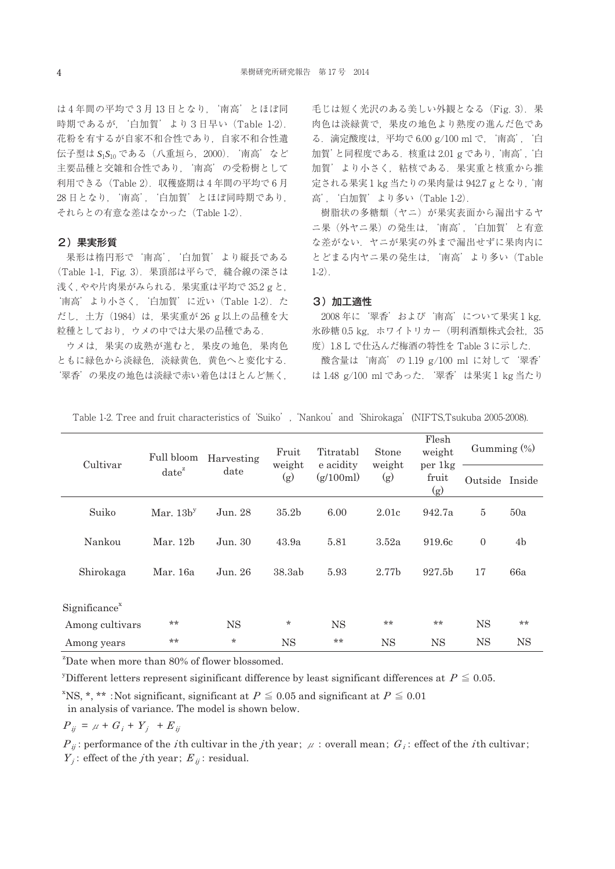は4年間の平均で3月13日となり、'南高'とほぼ同 時期であるが,'白加賀'より3日早い(Table 1-2). 花粉を有するが自家不和合性であり,自家不和合性遺 伝子型は *S*1*S*<sup>10</sup> である(八重垣ら,2000).'南高'など 主要品種と交雑和合性であり、'南高'の受粉樹として 利用できる(Table 2).収穫盛期は 4 年間の平均で 6 月 28 日となり,'南高','白加賀'とほぼ同時期であり, それらとの有意な差はなかった(Table 1-2).

## 2)果実形質

果形は楕円形で'南高', '白加賀'より縦長である (Table 1-1,Fig. 3).果頂部は平らで,縫合線の深さは 浅く,やや片肉果がみられる.果実重は平均で 35.2 g と, '南高' より小さく, '白加賀' に近い (Table 1-2). た だし,土方(1984)は,果実重が 26 g 以上の品種を大 粒種としており,ウメの中では大果の品種である.

ウメは,果実の成熟が進むと,果皮の地色,果肉色 ともに緑色から淡緑色,淡緑黄色,黄色へと変化する. '翠香'の果皮の地色は淡緑で赤い着色はほとんど無く,

毛じは短く光沢のある美しい外観となる (Fig. 3). 果 肉色は淡緑黄で,果皮の地色より熟度の進んだ色であ る.滴定酸度は,平均で 6.00 g/100 ml で,'南高','白 加賀'と同程度である.核重は 2.01 g であり,'南高','白 加賀'より小さく,粘核である.果実重と核重から推 定される果実 1 kg 当たりの果肉量は 942.7 g となり,'南 高','白加賀'より多い(Table 1-2).

樹脂状の多糖類(ヤニ)が果実表面から漏出するヤ ニ果(外ヤニ果)の発生は,'南高','白加賀'と有意 な差がない.ヤニが果実の外まで漏出せずに果肉内に とどまる内ヤニ果の発生は,'南高'より多い(Table 1-2).

#### 3)加工適性

2008 年に'翠香'および'南高'について果実 1 kg, 氷砂糖 0.5 kg, ホワイトリカー (明利酒類株式会社, 35 度)1.8 L で仕込んだ梅酒の特性を Table 3 に示した.

酸含量は'南高'の 1.19 g/100 ml に対して'翠香' は 1.48 g/100 ml であった.'翠香'は果実 1 kg 当たり

| Cultivar                  | Full bloom  | Harvesting | Fruit<br>weight   | Titratabl<br>e acidity | Stone<br>weight | Flesh<br>weight<br>per 1kg | Gumming $(\%)$ |                |
|---------------------------|-------------|------------|-------------------|------------------------|-----------------|----------------------------|----------------|----------------|
|                           | $date^z$    | date       | (g)               | (g/100ml)              | (g)             | fruit<br>(g)               | Outside Inside |                |
| Suiko                     | Mar. $13by$ | Jun. 28    | 35.2 <sub>b</sub> | 6.00                   | 2.01c           | 942.7a                     | $\overline{5}$ | 50a            |
| Nankou                    | Mar. 12b    | Jun. 30    | 43.9a             | 5.81                   | 3.52a           | 919.6c                     | $\overline{0}$ | 4 <sub>b</sub> |
| Shirokaga                 | Mar. 16a    | Jun. 26    | 38.3ab            | 5.93                   | 2.77b           | 927.5 <sub>b</sub>         | 17             | 66a            |
| Significance <sup>x</sup> |             |            |                   |                        |                 |                            |                |                |
| Among cultivars           | $**$        | <b>NS</b>  | $\star$           | <b>NS</b>              | $**$            | $**$                       | <b>NS</b>      | **             |
| Among years               | $**$        | $\star$    | <b>NS</b>         | $**$                   | <b>NS</b>       | <b>NS</b>                  | <b>NS</b>      | <b>NS</b>      |

Table 1-2. Tree and fruit characteristics of 'Suiko', 'Nankou' and 'Shirokaga'(NIFTS,Tsukuba 2005-2008).

<sup>z</sup>Date when more than 80% of flower blossomed.

<sup>y</sup>Different letters represent siginificant difference by least significant differences at  $P \leq 0.05$ .

<sup>x</sup>NS, \*, \*\* :Not significant, significant at  $P \leq 0.05$  and significant at  $P \leq 0.01$ in analysis of variance. The model is shown below.

$$
P_{ij} = \mu + G_i + Y_j + E_{ij}
$$

 $P_{ii}$ : performance of the *i*th cultivar in the *j*th year;  $\mu$  : overall mean;  $G_i$ : effect of the *i*th cultivar;  $Y_i$ : effect of the *j*th year;  $E_{ii}$ : residual.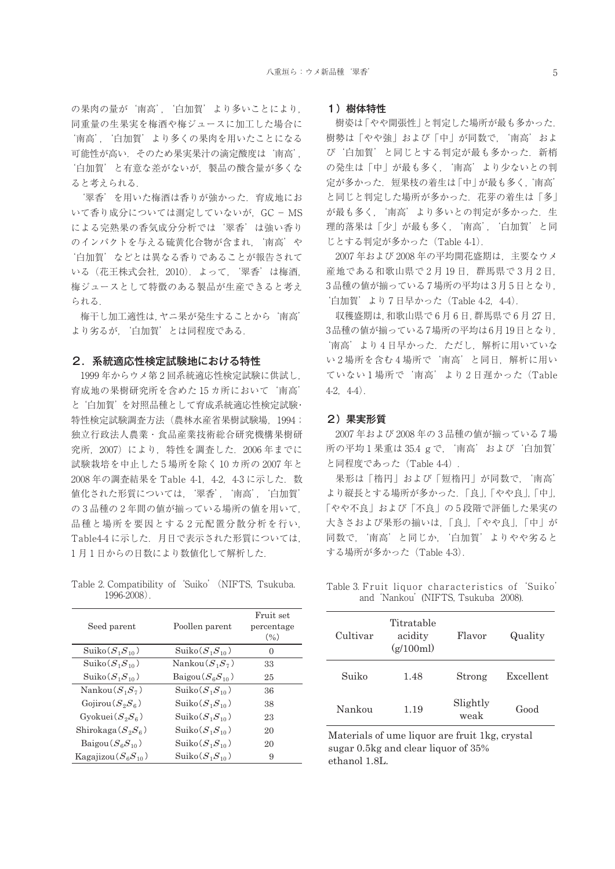の果肉の量が'南高', '白加賀' より多いことにより, 同重量の生果実を梅酒や梅ジュースに加工した場合に '南高','白加賀'より多くの果肉を用いたことになる 可能性が高い.そのため果実果汁の滴定酸度は'南高', '白加賀'と有意な差がないが,製品の酸含量が多くな ると考えられる.

'翠香'を用いた梅酒は香りが強かった.育成地にお いて香り成分については測定していないが、GC-MS による完熟果の香気成分分析では'翠香'は強い香り のインパクトを与える硫黄化合物が含まれ、'南高'や '白加賀'などとは異なる香りであることが報告されて いる(花王株式会社,2010).よって,'翠香'は梅酒, 梅ジュースとして特徴のある製品が生産できると考え られる.

梅干し加工適性は,ヤニ果が発生することから'南高' より劣るが,'白加賀'とは同程度である.

#### 2.系統適応性検定試験地における特性

1999 年からウメ第 2 回系統適応性検定試験に供試し, 育成地の果樹研究所を含めた 15 カ所において'南高' と'白加賀'を対照品種として育成系統適応性検定試験・ 特性検定試験調査方法(農林水産省果樹試験場,1994; 独立行政法人農業・食品産業技術総合研究機構果樹研 究所,2007)により,特性を調査した.2006 年までに 試験栽培を中止した 5 場所を除く 10 カ所の 2007 年と 2008年の調査結果を Table 4-1, 4-2, 4-3 に示した. 数 値化された形質については,'翠香','南高','白加賀' の 3 品種の 2 年間の値が揃っている場所の値を用いて, 品種と場所を要因とする 2 元配置分散分析を行い, Table4-4 に示した.月日で表示された形質については, 1 月 1 日からの日数により数値化して解析した.

Table 2. Compatibility of 'Suiko' (NIFTS, Tsukuba. 1996-2008).

| Seed parent                 | Poollen parent                        | Fruit set<br>percentage<br>(9/0) |
|-----------------------------|---------------------------------------|----------------------------------|
| Suiko $(S_1S_{10})$         | $\text{Suiko}(S_1S_{10})$             | $\mathbf{0}$                     |
| $\text{Suiko}(S_1S_{10})$   | Nankou $(S_1S_7)$                     | 33                               |
| $\text{Suiko}(S_1S_{10})$   | Baigou $(S_{\epsilon}S_{10})$         | 25                               |
| Nankou $(S_1S_7)$           | Suko(S <sub>1</sub> S <sub>10</sub> ) | 36                               |
| Gojirou $(S_2S_6)$          | Suko(S <sub>1</sub> S <sub>10</sub> ) | 38                               |
| $Gyokuei(S_2S_6)$           | $\text{Suiko}(S_1S_{10})$             | 23                               |
| Shirokaga $(S_2S_6)$        | Suko(S <sub>1</sub> S <sub>10</sub> ) | 20                               |
| Baigou $(S_{\kappa}S_{10})$ | $\text{Suiko}(S_1S_{10})$             | 20                               |
| Kagajizou $(S_6S_{10})$     | $\text{Suiko}(S_1S_{10})$             | 9                                |

#### 1)樹体特性

樹姿は「やや開張性」と判定した場所が最も多かった. 樹勢は「やや強」および「中」が同数で,'南高'およ び'白加賀'と同じとする判定が最も多かった.新梢 の発生は「中」が最も多く、'南高'より少ないとの判 定が多かった.短果枝の着生は「中」が最も多く,'南高' と同じと判定した場所が多かった.花芽の着生は「多」 が最も多く、'南高'より多いとの判定が多かった. 生 理的落果は「少」が最も多く, '南高', '白加賀' と同 じとする判定が多かった(Table 4-1).

2007 年および 2008 年の平均開花盛期は,主要なウメ 産地である和歌山県で2月19日,群馬県で3月2日, 3 品種の値が揃っている 7 場所の平均は3月5 日となり, '白加賀'より 7 日早かった(Table 4-2,4-4).

収穫盛期は,和歌山県で 6 月 6 日,群馬県で 6 月 27 日, 3品種の値が揃っている7場所の平均は6月19日となり, '南高'より4日早かった. ただし、解析に用いていな い 2 場所を含む 4 場所で'南高'と同日,解析に用い ていない 1 場所で'南高'より 2 日遅かった(Table  $4-2, 4-4$ ).

#### 2)果実形質

2007 年および 2008 年の 3 品種の値が揃っている 7 場 所の平均1果重は 35.4 g で, '南高'および'白加賀' と同程度であった(Table 4-4).

果形は「楕円」および「短楕円」が同数で、'南高' より縦長とする場所が多かった.「良」,「やや良」,「中」, 「やや不良」および「不良」の 5 段階で評価した果実の 大きさおよび果形の揃いは,「良」,「やや良」,「中」が 同数で,'南高'と同じか,'白加賀'よりやや劣ると する場所が多かった(Table 4-3).

Table 3. Fruit liquor characteristics of 'Suiko' and 'Nankou' (NIFTS, Tsukuba 2008).

| Cultivar | Titratable<br>acidity<br>(g/100ml) | Flavor           | Quality   |
|----------|------------------------------------|------------------|-----------|
| Suiko    | 1.48                               | Strong           | Excellent |
| Nankou   | 1.19                               | Slightly<br>weak | Good      |

Materials of ume liquor are fruit 1kg, crystal sugar 0.5kg and clear liquor of 35% ethanol 1.8L.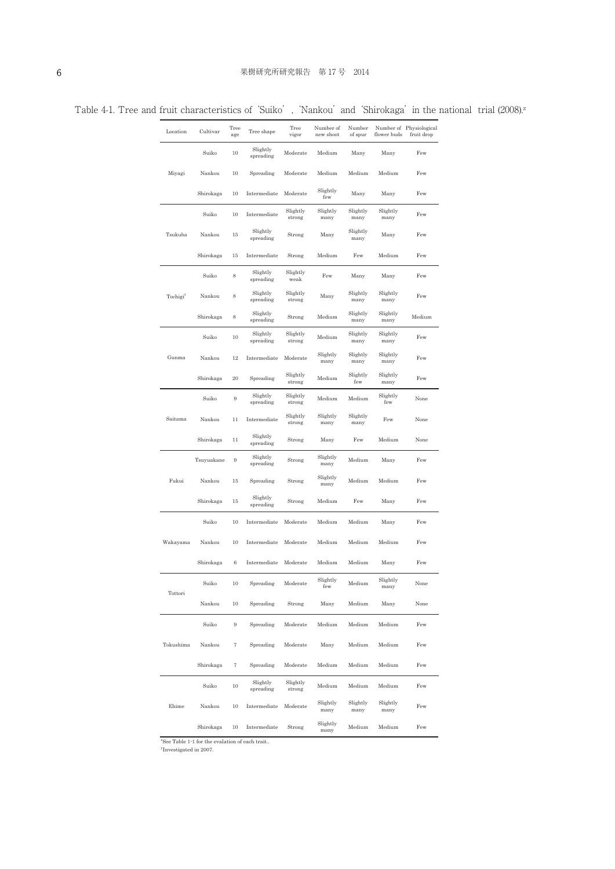| Location             | Cultivar   | Tree<br>age | Tree shape            | Tree<br>vigor      | Number of<br>new shoot | Number<br>of spur | flower buds      | Number of Physiological<br>fruit drop |
|----------------------|------------|-------------|-----------------------|--------------------|------------------------|-------------------|------------------|---------------------------------------|
|                      | Suiko      | 10          | Slightly<br>spreading | Moderate           | Medium                 | Many              | Many             | Few                                   |
| Miyagi               | Nankou     | 10          | Spreading             | Moderate           | Medium                 | Medium            | Medium           | Few                                   |
|                      | Shirokaga  | 10          | Intermediate          | Moderate           | Slightly<br>few        | Many              | Many             | Few                                   |
|                      | Suiko      | 10          | Intermediate          | Slightly<br>strong | Slightly<br>many       | Slightly<br>many  | Slightly<br>many | Few                                   |
| Tsukuba              | Nankou     | 15          | Slightly<br>spreading | Strong             | Many                   | Slightly<br>many  | Many             | Few                                   |
|                      | Shirokaga  | 15          | Intermediate          | Strong             | Medium                 | Few               | Medium           | Few                                   |
|                      | Suiko      | 8           | Slightly<br>spreading | Slightly<br>weak   | Few                    | Many              | Many             | Few                                   |
| Tochigi <sup>y</sup> | Nankou     | 8           | Slightly<br>spreading | Slightly<br>strong | Many                   | Slightly<br>many  | Slightly<br>many | Few                                   |
|                      | Shirokaga  | 8           | Slightly<br>spreading | Strong             | Medium                 | Slightly<br>many  | Slightly<br>many | Medium                                |
|                      | Suiko      | 10          | Slightly<br>spreading | Slightly<br>strong | Medium                 | Slightly<br>many  | Slightly<br>many | Few                                   |
| Gunma                | Nankou     | 12          | Intermediate          | Moderate           | Slightly<br>many       | Slightly<br>many  | Slightly<br>many | Few                                   |
|                      | Shirokaga  | 20          | Spreading             | Slightly<br>strong | Medium                 | Slightly<br>few   | Slightly<br>many | Few                                   |
|                      | Suiko      | 9           | Slightly<br>spreading | Slightly<br>strong | Medium                 | Medium            | Slightly<br>few  | None                                  |
| Saitama              | Nankou     | 11          | Intermediate          | Slightly<br>strong | Slightly<br>many       | Slightly<br>many  | Few              | None                                  |
|                      | Shirokaga  | 11          | Slightly<br>spreading | Strong             | Many                   | Few               | Medium           | None                                  |
|                      | Tsuyuakane | 9           | Slightly<br>spreading | Strong             | Slightly<br>many       | Medium            | Many             | Few                                   |
| Fukui                | Nankou     | 15          | Spreading             | Strong             | Slightly<br>many       | Medium            | Medium           | Few                                   |
|                      | Shirokaga  | 15          | Slightly<br>spreading | Strong             | Medium                 | Few               | Many             | Few                                   |
|                      | Suiko      | 10          | Intermediate          | Moderate           | Medium                 | Medium            | Many             | Few                                   |
| Wakayama             | Nankou     | 10          | Intermediate          | Moderate           | Medium                 | Medium            | Medium           | Few                                   |
|                      | Shirokaga  | 6           | Intermediate          | Moderate           | Medium                 | Medium            | Many             | Few                                   |
|                      | Suiko      | 10          | Spreading             | Moderate           | Slightly<br>few        | Medium            | Slightly<br>many | None                                  |
| Tottori              | Nankou     | 10          | Spreading             | Strong             | Many                   | Medium            | Many             | None                                  |
|                      | Suiko      | 9           | Spreading             | Moderate           | Medium                 | Medium            | Medium           | Few                                   |
| Tokushima            | Nankou     | 7           | Spreading             | Moderate           | Many                   | Medium            | Medium           | Few                                   |
|                      | Shirokaga  | 7           | Spreading             | Moderate           | Medium                 | Medium            | Medium           | Few                                   |
|                      | Suiko      | 10          | Slightly<br>spreading | Slightly<br>strong | Medium                 | Medium            | Medium           | Few                                   |
| Ehime                | Nankou     | 10          | Intermediate          | Moderate           | Slightly<br>many       | Slightly<br>many  | Slightly<br>many | Few                                   |
|                      | Shirokaga  | 10          | Intermediate          | Strong             | Slightly<br>many       | Medium            | Medium           | Few                                   |

Table 4-1. Tree and fruit characteristics of 'Suiko', 'Nankou' and 'Shirokaga' in the national trial (2008).<sup>z</sup>

z See Table 1-1 for the evalation of each trait..

y Investigated in 2007.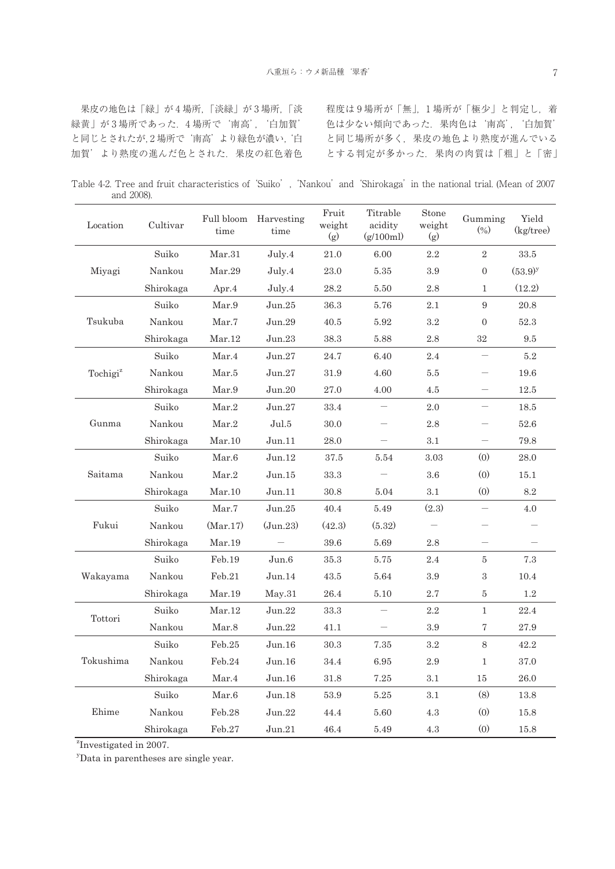果皮の地色は「緑」が 4 場所,「淡緑」が 3 場所,「淡 緑黄」が3場所であった. 4場所で'南高', '白加賀' と同じとされたが,2 場所で'南高'より緑色が濃い,'白 加賀'より熟度の進んだ色とされた.果皮の紅色着色 程度は9場所が「無」,1場所が「極少」と判定し、着 色は少ない傾向であった.果肉色は'南高','白加賀' と同じ場所が多く,果皮の地色より熟度が進んでいる とする判定が多かった.果肉の肉質は「粗」と「密」

Table 4-2. Tree and fruit characteristics of 'Suiko', 'Nankou' and 'Shirokaga' in the national trial. (Mean of 2007 and 2008).

| Location             | Cultivar  | Full bloom<br>time | Harvesting<br>time | Fruit<br>weight<br>(g) | Titrable<br>acidity<br>(g/100ml) | Stone<br>weight<br>(g) | Gumming<br>(0/0)               | Yield<br>(kg/tree) |
|----------------------|-----------|--------------------|--------------------|------------------------|----------------------------------|------------------------|--------------------------------|--------------------|
|                      | Suiko     | Mar.31             | July.4             | 21.0                   | 6.00                             | 2.2                    | $\sqrt{2}$                     | $33.5\,$           |
| Miyagi               | Nankou    | Mar.29             | July.4             | 23.0                   | 5.35                             | 3.9                    | $\boldsymbol{0}$               | $(53.9)^y$         |
|                      | Shirokaga | Apr. $4$           | July.4             | 28.2                   | 5.50                             | 2.8                    | $\mathbf{1}$                   | (12.2)             |
|                      | Suiko     | Mar.9              | Jun.25             | 36.3                   | 5.76                             | 2.1                    | $9\phantom{.}$                 | 20.8               |
| Tsukuba              | Nankou    | Mar.7              | Jun.29             | 40.5                   | 5.92                             | 3.2                    | $\boldsymbol{0}$               | 52.3               |
|                      | Shirokaga | Mar.12             | Jun.23             | 38.3                   | 5.88                             | $2.8\,$                | $32\,$                         | 9.5                |
|                      | Suiko     | Mar.4              | Jun.27             | 24.7                   | 6.40                             | 2.4                    | $\qquad \qquad \longleftarrow$ | 5.2                |
| Tochigi <sup>z</sup> | Nankou    | Mar.5              | Jun.27             | 31.9                   | 4.60                             | 5.5                    |                                | 19.6               |
|                      | Shirokaga | Mar.9              | Jun.20             | 27.0                   | 4.00                             | 4.5                    |                                | 12.5               |
|                      | Suiko     | Mar.2              | Jun.27             | 33.4                   |                                  | 2.0                    | $\qquad \qquad \longleftarrow$ | 18.5               |
| Gunma                | Nankou    | Mar.2              | Jul.5              | 30.0                   |                                  | 2.8                    |                                | 52.6               |
|                      | Shirokaga | Mar.10             | Jun.11             | 28.0                   |                                  | 3.1                    |                                | 79.8               |
|                      | Suiko     | Mar.6              | Jun.12             | 37.5                   | 5.54                             | 3.03                   | (0)                            | 28.0               |
| Saitama              | Nankou    | $\mbox{Mar.2}$     | Jun.15             | 33.3                   |                                  | 3.6                    | (0)                            | 15.1               |
|                      | Shirokaga | Mar.10             | Jun.11             | 30.8                   | 5.04                             | 3.1                    | (0)                            | 8.2                |
|                      | Suiko     | Mar.7              | Jun.25             | 40.4                   | 5.49                             | (2.3)                  |                                | 4.0                |
| Fukui                | Nankou    | (Mar.17)           | (Jun.23)           | (42.3)                 | (5.32)                           |                        |                                |                    |
|                      | Shirokaga | Mar.19             |                    | 39.6                   | 5.69                             | 2.8                    |                                |                    |
|                      | Suiko     | Feb.19             | Jun.6              | 35.3                   | 5.75                             | 2.4                    | 5                              | 7.3                |
| Wakayama             | Nankou    | $\text{Feb}.21$    | Jun.14             | 43.5                   | 5.64                             | 3.9                    | 3                              | 10.4               |
|                      | Shirokaga | Mar.19             | May.31             | 26.4                   | 5.10                             | $2.7\,$                | 5                              | $1.2\,$            |
| Tottori              | Suiko     | Mar.12             | Jun.22             | 33.3                   |                                  | 2.2                    | $\mathbf{1}$                   | 22.4               |
|                      | Nankou    | Mar.8              | Jun.22             | 41.1                   | $\overline{\phantom{m}}$         | 3.9                    | 7                              | $27.9\,$           |
|                      | Suiko     | $\text{Feb}.25$    | Jun.16             | 30.3                   | 7.35                             | $3.2\,$                | $8\,$                          | 42.2               |
| Tokushima            | Nankou    | Feb.24             | Jun.16             | 34.4                   | 6.95                             | 2.9                    | $\mathbf{1}$                   | 37.0               |
|                      | Shirokaga | Mar.4              | Jun.16             | 31.8                   | 7.25                             | 3.1                    | 15                             | 26.0               |
|                      | Suiko     | Mar.6              | Jun.18             | 53.9                   | 5.25                             | 3.1                    | (8)                            | 13.8               |
| Ehime                | Nankou    | Feb.28             | Jun.22             | 44.4                   | 5.60                             | 4.3                    | (0)                            | 15.8               |
|                      | Shirokaga | Feb.27             | Jun.21             | 46.4                   | 5.49                             | $4.3\,$                | (0)                            | 15.8               |

z Investigated in 2007.

<sup>y</sup>Data in parentheses are single year.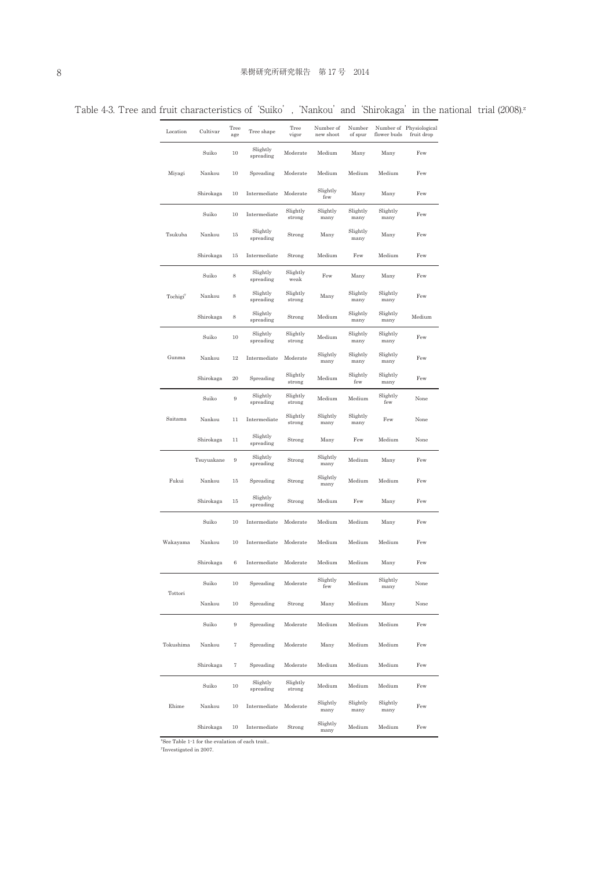|  | I | i<br>۰. |  |
|--|---|---------|--|
|  |   |         |  |
|  |   |         |  |
|  |   |         |  |

Table 4-3. Tree and fruit characteristics of 'Suiko', 'Nankou' and 'Shirokaga' in the national trial (2008).<sup>z</sup>

| Location             | Cultivar   | Tree<br>age         | Tree shape            | Tree<br>vigor      | Number of<br>new shoot | Number<br>of spur | flower buds      | Number of Physiological<br>fruit drop |
|----------------------|------------|---------------------|-----------------------|--------------------|------------------------|-------------------|------------------|---------------------------------------|
|                      | Suiko      | 10                  | Slightly<br>spreading | Moderate           | Medium                 | Many              | Many             | Few                                   |
| Miyagi               | Nankou     | 10                  | Spreading             | Moderate           | Medium                 | Medium            | Medium           | Few                                   |
|                      | Shirokaga  | 10                  | Intermediate          | Moderate           | Slightly<br>few        | Many              | Many             | Few                                   |
|                      | Suiko      | 10                  | Intermediate          | Slightly<br>strong | Slightly<br>many       | Slightly<br>many  | Slightly<br>many | Few                                   |
| Tsukuba              | Nankou     | 15                  | Slightly<br>spreading | Strong             | Many                   | Slightly<br>many  | Many             | Few                                   |
|                      | Shirokaga  | 15                  | Intermediate          | Strong             | Medium                 | Few               | Medium           | Few                                   |
|                      | Suiko      | 8                   | Slightly<br>spreading | Slightly<br>weak   | Few                    | Many              | Many             | Few                                   |
| Tochigi <sup>y</sup> | Nankou     | 8                   | Slightly<br>spreading | Slightly<br>strong | Many                   | Slightly<br>many  | Slightly<br>many | Few                                   |
|                      | Shirokaga  | 8                   | Slightly<br>spreading | Strong             | Medium                 | Slightly<br>many  | Slightly<br>many | Medium                                |
|                      | Suiko      | 10                  | Slightly<br>spreading | Slightly<br>strong | Medium                 | Slightly<br>many  | Slightly<br>many | Few                                   |
| Gunma                | Nankou     | 12                  | Intermediate          | Moderate           | Slightly<br>many       | Slightly<br>many  | Slightly<br>many | Few                                   |
|                      | Shirokaga  | 20                  | Spreading             | Slightly<br>strong | Medium                 | Slightly<br>few   | Slightly<br>many | Few                                   |
|                      | Suiko      | 9                   | Slightly<br>spreading | Slightly<br>strong | Medium                 | Medium            | Slightly<br>few  | None                                  |
| Saitama              | Nankou     | 11                  | Intermediate          | Slightly<br>strong | Slightly<br>many       | Slightly<br>many  | Few              | None                                  |
|                      | Shirokaga  | 11                  | Slightly<br>spreading | Strong             | Many                   | Few               | Medium           | None                                  |
|                      | Tsuyuakane | 9                   | Slightly<br>spreading | Strong             | Slightly<br>many       | Medium            | Many             | Few                                   |
| Fukui                | Nankou     | 15                  | Spreading             | Strong             | Slightly<br>many       | Medium            | Medium           | Few                                   |
|                      | Shirokaga  | 15                  | Slightly<br>spreading | Strong             | Medium                 | Few               | Many             | Few                                   |
|                      | Suiko      | 10                  | Intermediate          | Moderate           | Medium                 | Medium            | Many             | Few                                   |
| Wakayama             | Nankou     | 10                  | Intermediate          | Moderate           | Medium                 | Medium            | Medium           | Few                                   |
|                      | Shirokaga  | 6                   | Intermediate          | Moderate           | Medium                 | Medium            | Many             | Few                                   |
| Tottori              | 501K       | 10                  | Spreading             | Moderate           | Slightly<br>few        | Medium            | Slightly<br>many | None                                  |
|                      | Nankou     | $10\,$              | Spreading             | Strong             | Many                   | Medium            | Many             | None                                  |
|                      | Suiko      | $\,9$               | Spreading             | Moderate           | Medium                 | Medium            | Medium           | Few                                   |
| Tokushima            | Nankou     | $\scriptstyle\rm 7$ | Spreading             | Moderate           | Many                   | Medium            | Medium           | Few                                   |
|                      | Shirokaga  | $\scriptstyle\rm 7$ | Spreading             | Moderate           | Medium                 | Medium            | Medium           | Few                                   |
|                      | Suiko      | $10\,$              | Slightly<br>spreading | Slightly<br>strong | Medium                 | Medium            | Medium           | Few                                   |
| Ehime                | Nankou     | 10                  | Intermediate          | Moderate           | Slightly<br>many       | Slightly<br>many  | Slightly<br>many | Few                                   |
|                      | Shirokaga  | 10                  | Intermediate          | Strong             | Slightly<br>many       | Medium            | Medium           | Few                                   |

z See Table 1-1 for the evalation of each trait..

y Investigated in 2007.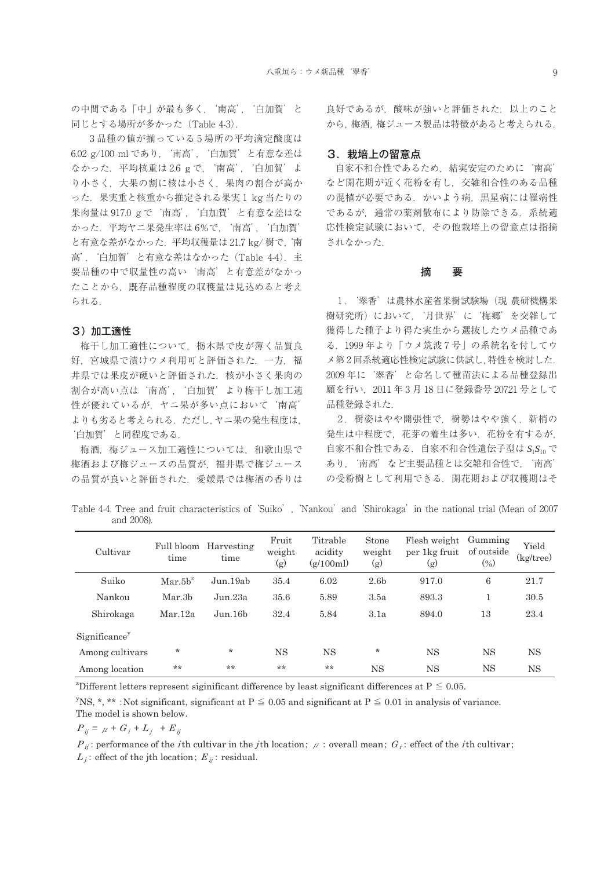の中間である「中」が最も多く, '南高', '白加賀' と 同じとする場所が多かった(Table 4-3).

 3 品種の値が揃っている 5 場所の平均滴定酸度は 6.02 g/100 ml であり,'南高','白加賀'と有意な差は なかった. 平均核重は 2.6 g で, '南高', '白加賀' よ り小さく,大果の割に核は小さく,果肉の割合が高か った. 果実重と核重から推定される果実1 kg 当たりの 果肉量は 917.0 g で '南高', '白加賀' と有意な差はな かった.平均ヤニ果発生率は 6%で,'南高','白加賀' と有意な差がなかった.平均収穫量は 21.7 kg/ 樹で,'南 高','白加賀'と有意な差はなかった(Table 4-4).主 要品種の中で収量性の高い'南高'と有意差がなかっ たことから,既存品種程度の収穫量は見込めると考え られる.

## 3)加工適性

梅干し加工適性について,栃木県で皮が薄く品質良 好,宮城県で漬けウメ利用可と評価された. 一方, 福 井県では果皮が硬いと評価された. 核が小さく果肉の 割合が高い点は'南高','白加賀'より梅干し加工適 性が優れているが,ヤニ果が多い点において'南高' よりも劣ると考えられる.ただし,ヤニ果の発生程度は, '白加賀'と同程度である.

梅酒,梅ジュース加工適性については,和歌山県で 梅酒および梅ジュースの品質が,福井県で梅ジュース の品質が良いと評価された.愛媛県では梅酒の香りは 良好であるが、酸味が強いと評価された. 以上のこと から,梅酒,梅ジュース製品は特徴があると考えられる.

## 3. 栽培上の留意点

自家不和合性であるため,結実安定のために'南高' など開花期が近く花粉を有し,交雑和合性のある品種 の混植が必要である. かいよう病, 黒星病には罹病性 であるが,通常の薬剤散布により防除できる.系統適 応性検定試験において,その他栽培上の留意点は指摘 されなかった.

## 摘 要

1.'翠香'は農林水産省果樹試験場(現 農研機構果 樹研究所)において,'月世界'に'梅郷'を交雑して 獲得した種子より得た実生から選抜したウメ品種であ る.1999 年より「ウメ筑波 7 号」の系統名を付してウ メ第 2 回系統適応性検定試験に供試し,特性を検討した. 2009 年に'翠香'と命名して種苗法による品種登録出 願を行い,2011 年 3 月 18 日に登録番号 20721 号として 品種登録された.

2.樹姿はやや開張性で,樹勢はやや強く,新梢の 発生は中程度で、花芽の着生は多い. 花粉を有するが, 自家不和合性である.自家不和合性遺伝子型は *S*1*S*<sup>10</sup> で あり,'南高'など主要品種とは交雑和合性で,'南高' の受粉樹として利用できる.開花期および収穫期はそ

Table 4-4. Tree and fruit characteristics of 'Suiko', 'Nankou' and 'Shirokaga' in the national trial (Mean of 2007 and 2008).

| Cultivar        | Full bloom<br>time       | Harvesting<br>time  | Fruit<br>weight<br>$\rm (g)$ | Titrable<br>acidity<br>(g/100ml) | Stone<br>weight<br>$\rm (g)$ | Flesh weight<br>per 1kg fruit<br>$\rm (g)$ | Gumming<br>of outside<br>$\left( \% \right)$ | Yield<br>$(kg$ tree) |
|-----------------|--------------------------|---------------------|------------------------------|----------------------------------|------------------------------|--------------------------------------------|----------------------------------------------|----------------------|
| Suiko           | $\text{Mar.}5\text{h}^2$ | Jun.19ab            | 35.4                         | 6.02                             | 2.6 <sub>b</sub>             | 917.0                                      | 6                                            | 21.7                 |
| Nankou          | Mar.3b                   | Jun.23a             | 35.6                         | 5.89                             | 3.5a                         | 893.3                                      |                                              | 30.5                 |
| Shirokaga       | Mar.12a                  | Jun.16 <sub>b</sub> | 32.4                         | 5.84                             | 3.1a                         | 894.0                                      | 13                                           | 23.4                 |
| Significance    |                          |                     |                              |                                  |                              |                                            |                                              |                      |
| Among cultivars | $\star$                  | $\star$             | <b>NS</b>                    | <b>NS</b>                        | $\star$                      | <b>NS</b>                                  | <b>NS</b>                                    | NS                   |
| Among location  | $**$                     | **                  | **                           | **                               | <b>NS</b>                    | <b>NS</b>                                  | <b>NS</b>                                    | <b>NS</b>            |

<sup>2</sup>Different letters represent siginificant difference by least significant differences at  $P \leq 0.05$ .

 $y_{\rm NS,*,\star\star}$ : Not significant, significant at P  $\leq 0.05$  and significant at P  $\leq 0.01$  in analysis of variance. The model is shown below.

 $P_{ii} = \mu + G_i + L_i + E_{ii}$ 

P<sub>ij</sub>: performance of the *i*th cultivar in the *j*th location;  $\mu$ : overall mean;  $G_i$ : effect of the *i*th cultivar;  $L_i$ : effect of the jth location;  $E_{ii}$ : residual.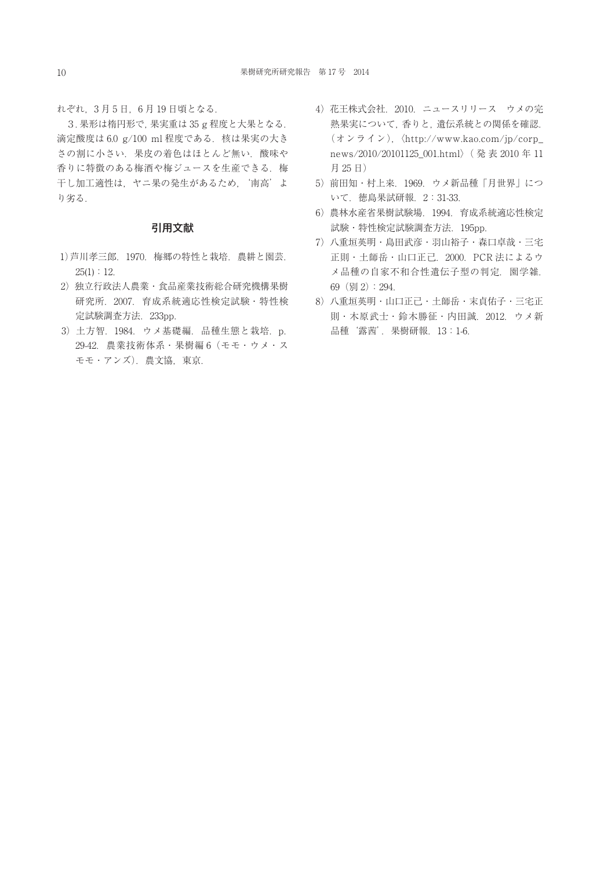れぞれ,3 月 5 日,6 月 19 日頃となる.

3. 果形は楕円形で,果実重は 35 g 程度と大果となる. 滴定酸度は 6.0 g/100 ml 程度である. 核は果実の大き さの割に小さい. 果皮の着色はほとんど無い. 酸味や 香りに特徴のある梅酒や梅ジュースを生産できる. 梅 干し加工適性は, ヤニ果の発生があるため,'南高'よ り劣る.

## 引用文献

- 1)芦川孝三郎.1970.梅郷の特性と栽培.農耕と園芸.  $25(1):12.$
- 2)独立行政法人農業・食品産業技術総合研究機構果樹 研究所.2007.育成系統適応性検定試験・特性検 定試験調査方法.233pp.
- 3)土方智.1984.ウメ基礎編.品種生態と栽培.p. 29-42.農業技術体系・果樹編 6(モモ・ウメ・ス モモ・アンズ).農文協,東京.
- 4)花王株式会社.2010.ニュースリリース ウメの完 熟果実について,香りと,遺伝系統との関係を確認. (オンライン),〈http://www.kao.com/jp/corp\_ news/2010/20101125\_001.html〉( 発 表 2010 年 11 月 25 日)
- 5)前田知・村上来.1969.ウメ新品種「月世界」につ いて.徳島果試研報.2:31-33.
- 6)農林水産省果樹試験場.1994.育成系統適応性検定 試験・特性検定試験調査方法.195pp.
- 7)八重垣英明・島田武彦・羽山裕子・森口卓哉・三宅 正則・土師岳・山口正己.2000.PCR 法によるウ メ品種の自家不和合性遺伝子型の判定. 園学雑. 69(別 2):294.
- 8)八重垣英明・山口正己・土師岳・末貞佑子・三宅正 則・木原武士・鈴木勝征・内田誠.2012.ウメ新 品種'露茜'.果樹研報.13:1-6.